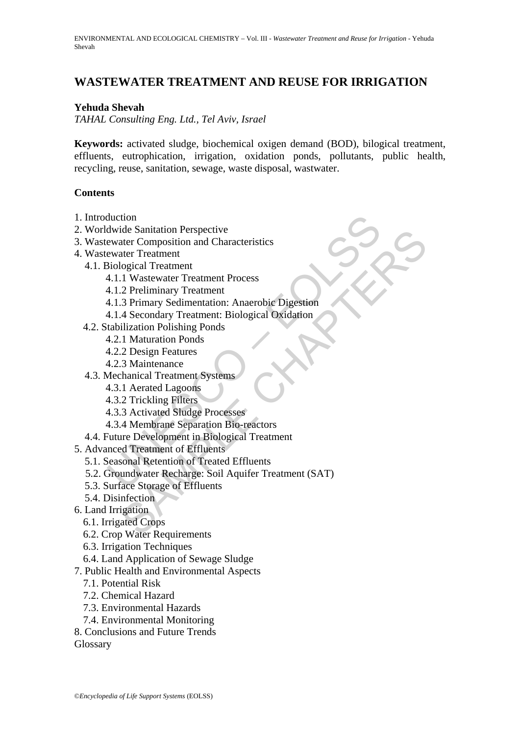# **WASTEWATER TREATMENT AND REUSE FOR IRRIGATION**

#### **Yehuda Shevah**

*TAHAL Consulting Eng. Ltd., Tel Aviv, Israel*

**Keywords:** activated sludge, biochemical oxigen demand (BOD), bilogical treatment, effluents, eutrophication, irrigation, oxidation ponds, pollutants, public health, recycling, reuse, sanitation, sewage, waste disposal, wastwater.

#### **Contents**

- 1. Introduction
- 2. Worldwide Sanitation Perspective
- 3. Wastewater Composition and Characteristics
- 4. Wastewater Treatment
	- 4.1. Biological Treatment
		- 4.1.1 Wastewater Treatment Process
		- 4.1.2 Preliminary Treatment
		- 4.1.3 Primary Sedimentation: Anaerobic Digestion
			- 4.1.4 Secondary Treatment: Biological Oxidation
	- 4.2. Stabilization Polishing Ponds
		- 4.2.1 Maturation Ponds
		- 4.2.2 Design Features
		- 4.2.3 Maintenance
	- 4.3. Mechanical Treatment Systems
		- 4.3.1 Aerated Lagoons
		- 4.3.2 Trickling Filters
		- 4.3.3 Activated Sludge Processes
		- 4.3.4 Membrane Separation Bio-reactors
	- 4.4. Future Development in Biological Treatment
- 5. Advanced Treatment of Effluents
	- 5.1. Seasonal Retention of Treated Effluents
- duction<br>
ewater Composition and Characteristics<br>
ewater Composition and Characteristics<br>
ewater Treatment<br>
3iological Treatment<br>
4.1.1 Wastewater Treatment<br>
4.1.1 Secondary Treatment: Biological Oxidation<br>
4.1.4 Secondary de Santation Perspective<br>
deter Composition and Characteristics<br>
deter Composition and Characteristics<br>
degree Treatment<br>
1 Wastewater Treatment<br>
3 Primary Sedimentation: Anaerobic Digestion<br>
4 Secondary Treatment: Biologi 5.2. Groundwater Recharge: Soil Aquifer Treatment (SAT)
	- 5.3. Surface Storage of Effluents
	- 5.4. Disinfection
- 6. Land Irrigation
	- 6.1. Irrigated Crops
	- 6.2. Crop Water Requirements
	- 6.3. Irrigation Techniques
	- 6.4. Land Application of Sewage Sludge
- 7. Public Health and Environmental Aspects
	- 7.1. Potential Risk
	- 7.2. Chemical Hazard
	- 7.3. Environmental Hazards
	- 7.4. Environmental Monitoring
- 8. Conclusions and Future Trends

**Glossary**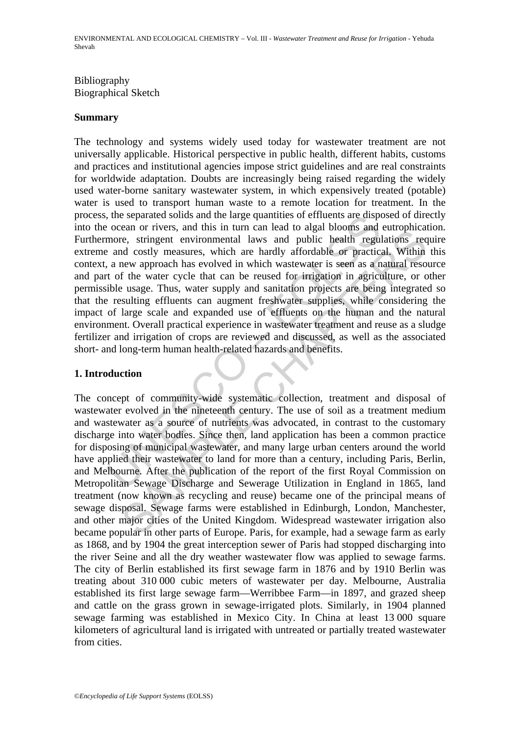### Bibliography Biographical Sketch

#### **Summary**

the separated solids and the large quantities of effluents are disposed of rivers, and this in turn can lead to algal blooms and corrivers, and in since to even or rivers, and costly measures, which are hardly affordable o The technology and systems widely used today for wastewater treatment are not universally applicable. Historical perspective in public health, different habits, customs and practices and institutional agencies impose strict guidelines and are real constraints for worldwide adaptation. Doubts are increasingly being raised regarding the widely used water-borne sanitary wastewater system, in which expensively treated (potable) water is used to transport human waste to a remote location for treatment. In the process, the separated solids and the large quantities of effluents are disposed of directly into the ocean or rivers, and this in turn can lead to algal blooms and eutrophication. Furthermore, stringent environmental laws and public health regulations require extreme and costly measures, which are hardly affordable or practical. Within this context, a new approach has evolved in which wastewater is seen as a natural resource and part of the water cycle that can be reused for irrigation in agriculture, or other permissible usage. Thus, water supply and sanitation projects are being integrated so that the resulting effluents can augment freshwater supplies, while considering the impact of large scale and expanded use of effluents on the human and the natural environment. Overall practical experience in wastewater treatment and reuse as a sludge fertilizer and irrigation of crops are reviewed and discussed, as well as the associated short- and long-term human health-related hazards and benefits.

### **1. Introduction**

eas of rivers, and uns in that is an east of orange obtomis and europhical<br>e.e. stringent environmental laws and public health regulations requested of costly measures, which are hardly affordable or practical. Within<br>the The concept of community-wide systematic collection, treatment and disposal of wastewater evolved in the nineteenth century. The use of soil as a treatment medium and wastewater as a source of nutrients was advocated, in contrast to the customary discharge into water bodies. Since then, land application has been a common practice for disposing of municipal wastewater, and many large urban centers around the world have applied their wastewater to land for more than a century, including Paris, Berlin, and Melbourne. After the publication of the report of the first Royal Commission on Metropolitan Sewage Discharge and Sewerage Utilization in England in 1865, land treatment (now known as recycling and reuse) became one of the principal means of sewage disposal. Sewage farms were established in Edinburgh, London, Manchester, and other major cities of the United Kingdom. Widespread wastewater irrigation also became popular in other parts of Europe. Paris, for example, had a sewage farm as early as 1868, and by 1904 the great interception sewer of Paris had stopped discharging into the river Seine and all the dry weather wastewater flow was applied to sewage farms. The city of Berlin established its first sewage farm in 1876 and by 1910 Berlin was treating about 310 000 cubic meters of wastewater per day. Melbourne, Australia established its first large sewage farm—Werribbee Farm—in 1897, and grazed sheep and cattle on the grass grown in sewage-irrigated plots. Similarly, in 1904 planned sewage farming was established in Mexico City. In China at least 13 000 square kilometers of agricultural land is irrigated with untreated or partially treated wastewater from cities.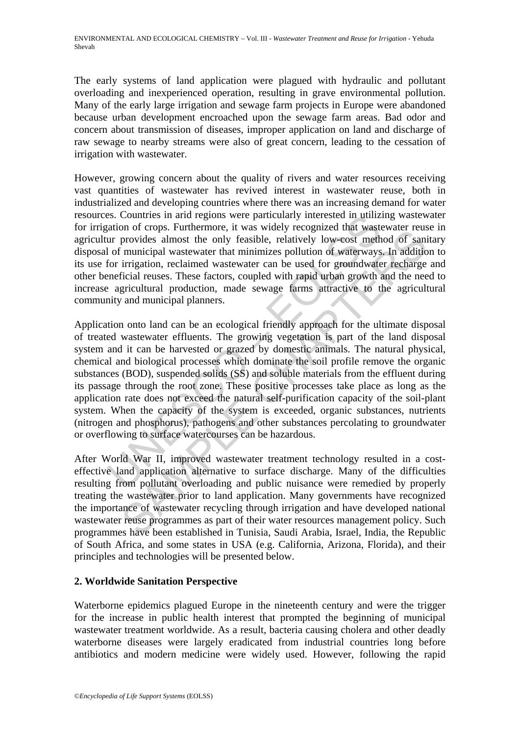The early systems of land application were plagued with hydraulic and pollutant overloading and inexperienced operation, resulting in grave environmental pollution. Many of the early large irrigation and sewage farm projects in Europe were abandoned because urban development encroached upon the sewage farm areas. Bad odor and concern about transmission of diseases, improper application on land and discharge of raw sewage to nearby streams were also of great concern, leading to the cessation of irrigation with wastewater.

However, growing concern about the quality of rivers and water resources receiving vast quantities of wastewater has revived interest in wastewater reuse, both in industrialized and developing countries where there was an increasing demand for water resources. Countries in arid regions were particularly interested in utilizing wastewater for irrigation of crops. Furthermore, it was widely recognized that wastewater reuse in agricultur provides almost the only feasible, relatively low-cost method of sanitary disposal of municipal wastewater that minimizes pollution of waterways. In addition to its use for irrigation, reclaimed wastewater can be used for groundwater recharge and other beneficial reuses. These factors, coupled with rapid urban growth and the need to increase agricultural production, made sewage farms attractive to the agricultural community and municipal planners.

ison of crops. Furthermore, it was widely recognized that wasted<br>and provides almost the only feasible, relatively low-cost meth<br>are provides almost the only feasible, relatively low-cost meth<br>of municipal wastewater that on or crops. Tunnentone, we was weary recognized unit was weakwater reason<br>provides almost the only feasible, relatively low-cost method of sami<br>municipal wastewater that minimizes pollution of waterways. In additio<br>irriga Application onto land can be an ecological friendly approach for the ultimate disposal of treated wastewater effluents. The growing vegetation is part of the land disposal system and it can be harvested or grazed by domestic animals. The natural physical, chemical and biological processes which dominate the soil profile remove the organic substances (BOD), suspended solids (SS) and soluble materials from the effluent during its passage through the root zone. These positive processes take place as long as the application rate does not exceed the natural self-purification capacity of the soil-plant system. When the capacity of the system is exceeded, organic substances, nutrients (nitrogen and phosphorus), pathogens and other substances percolating to groundwater or overflowing to surface watercourses can be hazardous.

After World War II, improved wastewater treatment technology resulted in a costeffective land application alternative to surface discharge. Many of the difficulties resulting from pollutant overloading and public nuisance were remedied by properly treating the wastewater prior to land application. Many governments have recognized the importance of wastewater recycling through irrigation and have developed national wastewater reuse programmes as part of their water resources management policy. Such programmes have been established in Tunisia, Saudi Arabia, Israel, India, the Republic of South Africa, and some states in USA (e.g. California, Arizona, Florida), and their principles and technologies will be presented below.

## **2. Worldwide Sanitation Perspective**

Waterborne epidemics plagued Europe in the nineteenth century and were the trigger for the increase in public health interest that prompted the beginning of municipal wastewater treatment worldwide. As a result, bacteria causing cholera and other deadly waterborne diseases were largely eradicated from industrial countries long before antibiotics and modern medicine were widely used. However, following the rapid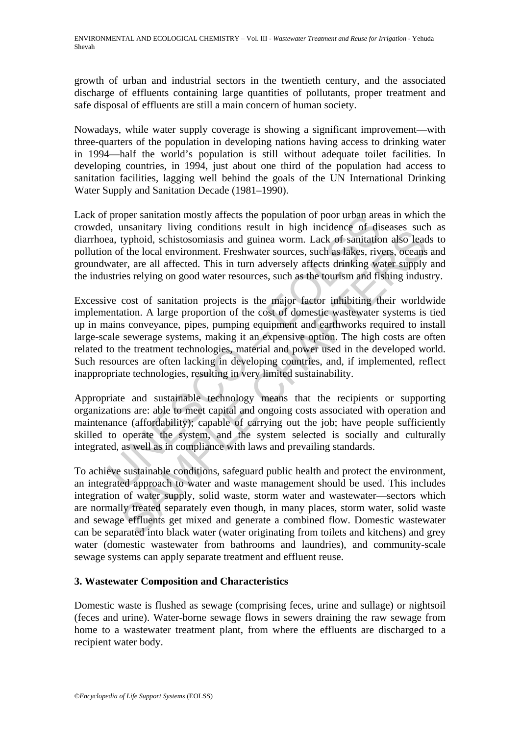growth of urban and industrial sectors in the twentieth century, and the associated discharge of effluents containing large quantities of pollutants, proper treatment and safe disposal of effluents are still a main concern of human society.

Nowadays, while water supply coverage is showing a significant improvement—with three-quarters of the population in developing nations having access to drinking water in 1994—half the world's population is still without adequate toilet facilities. In developing countries, in 1994, just about one third of the population had access to sanitation facilities, lagging well behind the goals of the UN International Drinking Water Supply and Sanitation Decade (1981–1990).

Lack of proper sanitation mostly affects the population of poor urban areas in which the crowded, unsanitary living conditions result in high incidence of diseases such as diarrhoea, typhoid, schistosomiasis and guinea worm. Lack of sanitation also leads to pollution of the local environment. Freshwater sources, such as lakes, rivers, oceans and groundwater, are all affected. This in turn adversely affects drinking water supply and the industries relying on good water resources, such as the tourism and fishing industry.

proper sanitation mostly affects the population of poor urban are<br>d, unsanitary living conditions result in high incidence of dis-<br>ea, typhoid, schistosomiasis and guinea worm. Lack of sanitatio<br>n of the local environment. unsamany inving contunions result in ring incuence or inseases success were<br>typhoid, schitsosomialists may increding worm. Lack of sanitation also lead<br>f the local environment. Freshwater sources, such as lakes, rivers, oc Excessive cost of sanitation projects is the major factor inhibiting their worldwide implementation. A large proportion of the cost of domestic wastewater systems is tied up in mains conveyance, pipes, pumping equipment and earthworks required to install large-scale sewerage systems, making it an expensive option. The high costs are often related to the treatment technologies, material and power used in the developed world. Such resources are often lacking in developing countries, and, if implemented, reflect inappropriate technologies, resulting in very limited sustainability.

Appropriate and sustainable technology means that the recipients or supporting organizations are: able to meet capital and ongoing costs associated with operation and maintenance (affordability); capable of carrying out the job; have people sufficiently skilled to operate the system, and the system selected is socially and culturally integrated, as well as in compliance with laws and prevailing standards.

To achieve sustainable conditions, safeguard public health and protect the environment, an integrated approach to water and waste management should be used. This includes integration of water supply, solid waste, storm water and wastewater—sectors which are normally treated separately even though, in many places, storm water, solid waste and sewage effluents get mixed and generate a combined flow. Domestic wastewater can be separated into black water (water originating from toilets and kitchens) and grey water (domestic wastewater from bathrooms and laundries), and community-scale sewage systems can apply separate treatment and effluent reuse.

### **3. Wastewater Composition and Characteristics**

Domestic waste is flushed as sewage (comprising feces, urine and sullage) or nightsoil (feces and urine). Water-borne sewage flows in sewers draining the raw sewage from home to a wastewater treatment plant, from where the effluents are discharged to a recipient water body.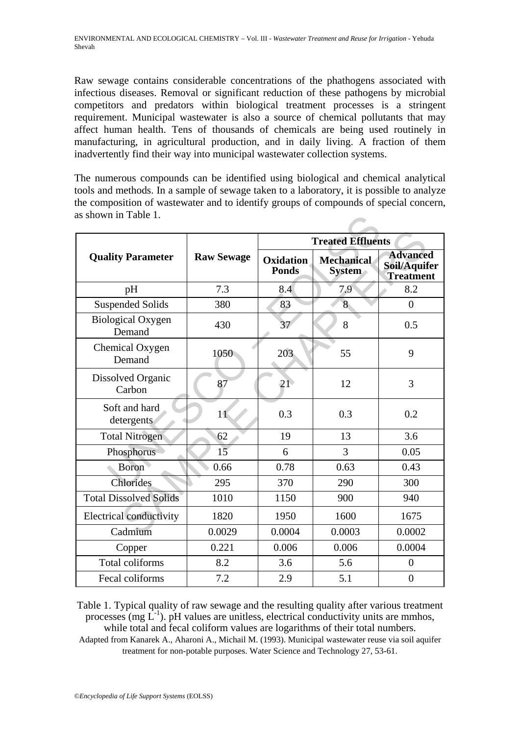Raw sewage contains considerable concentrations of the phathogens associated with infectious diseases. Removal or significant reduction of these pathogens by microbial competitors and predators within biological treatment processes is a stringent requirement. Municipal wastewater is also a source of chemical pollutants that may affect human health. Tens of thousands of chemicals are being used routinely in manufacturing, in agricultural production, and in daily living. A fraction of them inadvertently find their way into municipal wastewater collection systems.

The numerous compounds can be identified using biological and chemical analytical tools and methods. In a sample of sewage taken to a laboratory, it is possible to analyze the composition of wastewater and to identify groups of compounds of special concern, as shown in Table 1.

| as shown in Table 1.               |                   |                           |                                    |                                                     |  |  |
|------------------------------------|-------------------|---------------------------|------------------------------------|-----------------------------------------------------|--|--|
|                                    |                   | <b>Treated Effluents</b>  |                                    |                                                     |  |  |
| <b>Quality Parameter</b>           | <b>Raw Sewage</b> | Oxidation<br><b>Ponds</b> | <b>Mechanical</b><br><b>System</b> | <b>Advanced</b><br>Soil/Aquifer<br><b>Treatment</b> |  |  |
| pH                                 | 7.3               | 8.4                       | 7.9                                | 8.2                                                 |  |  |
| <b>Suspended Solids</b>            | 380               | 83                        | 8                                  | $\overline{0}$                                      |  |  |
| <b>Biological Oxygen</b><br>Demand | 430               | 37                        | 8                                  | 0.5                                                 |  |  |
| Chemical Oxygen<br>Demand          | 1050              | 203                       | 55                                 | 9                                                   |  |  |
| Dissolved Organic<br>Carbon        | 87                | 21 <sup>°</sup>           | 12                                 | 3                                                   |  |  |
| Soft and hard<br>detergents        | 11                | 0.3                       | 0.3                                | 0.2                                                 |  |  |
| <b>Total Nitrogen</b>              | 62                | 19                        | 13                                 | 3.6                                                 |  |  |
| Phosphorus                         | 15                | 6                         | 3                                  | 0.05                                                |  |  |
| <b>Boron</b>                       | 0.66              | 0.78                      | 0.63                               | 0.43                                                |  |  |
| Chlorides                          | 295               | 370                       | 290                                | 300                                                 |  |  |
| <b>Total Dissolved Solids</b>      | 1010              | 1150                      | 900                                | 940                                                 |  |  |
| <b>Electrical conductivity</b>     | 1820              | 1950                      | 1600                               | 1675                                                |  |  |
| Cadmium                            | 0.0029            | 0.0004                    | 0.0003                             | 0.0002                                              |  |  |
| Copper                             | 0.221             | 0.006                     | 0.006                              | 0.0004                                              |  |  |
| Total coliforms                    | 8.2               | 3.6                       | 5.6                                | $\overline{0}$                                      |  |  |
| Fecal coliforms                    | 7.2               | 2.9                       | 5.1                                | $\overline{0}$                                      |  |  |

Table 1. Typical quality of raw sewage and the resulting quality after various treatment processes (mg  $L^{-1}$ ). pH values are unitless, electrical conductivity units are mmhos, while total and fecal coliform values are logarithms of their total numbers. Adapted from Kanarek A., Aharoni A., Michail M. (1993). Municipal wastewater reuse via soil aquifer

treatment for non-potable purposes. Water Science and Technology 27, 53-61.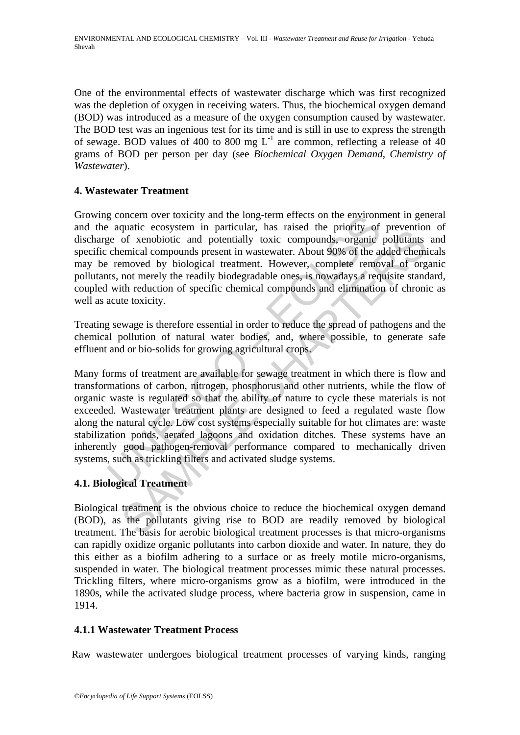One of the environmental effects of wastewater discharge which was first recognized was the depletion of oxygen in receiving waters. Thus, the biochemical oxygen demand (BOD) was introduced as a measure of the oxygen consumption caused by wastewater. The BOD test was an ingenious test for its time and is still in use to express the strength of sewage. BOD values of 400 to 800 mg  $L^{-1}$  are common, reflecting a release of 40 grams of BOD per person per day (see *Biochemical Oxygen Demand*, *Chemistry of Wastewater*).

### **4. Wastewater Treatment**

Growing concern over toxicity and the long-term effects on the environment in general and the aquatic ecosystem in particular, has raised the priority of prevention of discharge of xenobiotic and potentially toxic compounds, organic pollutants and specific chemical compounds present in wastewater. About 90% of the added chemicals may be removed by biological treatment. However, complete removal of organic pollutants, not merely the readily biodegradable ones, is nowadays a requisite standard, coupled with reduction of specific chemical compounds and elimination of chronic as well as acute toxicity.

Treating sewage is therefore essential in order to reduce the spread of pathogens and the chemical pollution of natural water bodies, and, where possible, to generate safe effluent and or bio-solids for growing agricultural crops.

g concern over toxicity and the long-term effects on the environm<br>
and the cosystem in particular, has raised the priority of<br>
equation compounds, organic<br>
equation of specific chemical compounds, organic<br>
chemical compoun dual consistent in patuelara, ias rassed the priority of the political consistent and controlled and potentially toxic compounds, organic pollutants emical compounds present in wastewater. About 90% of the added chemimoved Many forms of treatment are available for sewage treatment in which there is flow and transformations of carbon, nitrogen, phosphorus and other nutrients, while the flow of organic waste is regulated so that the ability of nature to cycle these materials is not exceeded. Wastewater treatment plants are designed to feed a regulated waste flow along the natural cycle. Low cost systems especially suitable for hot climates are: waste stabilization ponds, aerated lagoons and oxidation ditches. These systems have an inherently good pathogen-removal performance compared to mechanically driven systems, such as trickling filters and activated sludge systems.

## **4.1. Biological Treatment**

Biological treatment is the obvious choice to reduce the biochemical oxygen demand (BOD), as the pollutants giving rise to BOD are readily removed by biological treatment. The basis for aerobic biological treatment processes is that micro-organisms can rapidly oxidize organic pollutants into carbon dioxide and water. In nature, they do this either as a biofilm adhering to a surface or as freely motile micro-organisms, suspended in water. The biological treatment processes mimic these natural processes. Trickling filters, where micro-organisms grow as a biofilm, were introduced in the 1890s, while the activated sludge process, where bacteria grow in suspension, came in 1914.

### **4.1.1 Wastewater Treatment Process**

Raw wastewater undergoes biological treatment processes of varying kinds, ranging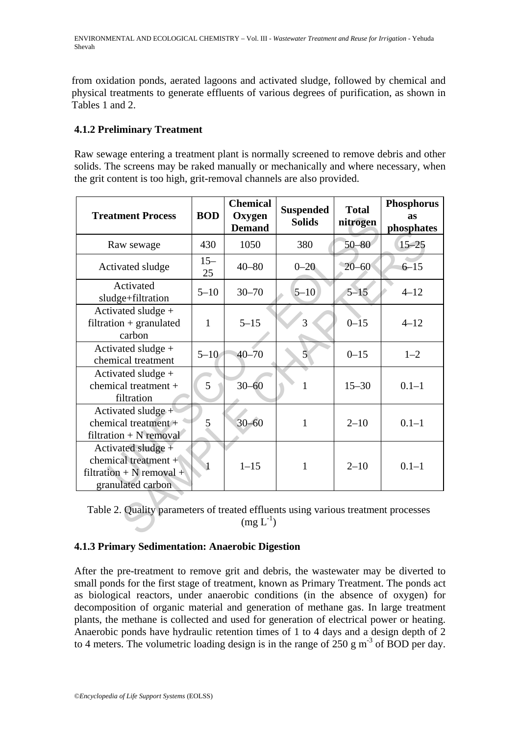from oxidation ponds, aerated lagoons and activated sludge, followed by chemical and physical treatments to generate effluents of various degrees of purification, as shown in Tables 1 and 2.

## **4.1.2 Preliminary Treatment**

Raw sewage entering a treatment plant is normally screened to remove debris and other solids. The screens may be raked manually or mechanically and where necessary, when the grit content is too high, grit-removal channels are also provided.

| <b>Treatment Process</b>                                                                            | <b>BOD</b>   | <b>Chemical</b><br>Oxygen<br><b>Demand</b> | <b>Suspended</b><br><b>Solids</b> | <b>Total</b><br>nitrogen | <b>Phosphorus</b><br>as<br>phosphates |  |  |
|-----------------------------------------------------------------------------------------------------|--------------|--------------------------------------------|-----------------------------------|--------------------------|---------------------------------------|--|--|
| Raw sewage                                                                                          | 430          | 1050                                       | 380                               | $50 - 80$                | $15 - 25$                             |  |  |
| Activated sludge                                                                                    | $15 -$<br>25 | $40 - 80$                                  | $0 - 20$                          | $20 - 60$                | $6 - 15$                              |  |  |
| Activated<br>sludge+filtration                                                                      | $5 - 10$     | $30 - 70$                                  | $5 - 10$                          | $5 - 15$                 | $4 - 12$                              |  |  |
| Activated sludge +<br>$filtration + granulated$<br>carbon                                           | $\mathbf{1}$ | $5 - 15$                                   | 3                                 | $0 - 15$                 | $4 - 12$                              |  |  |
| Activated sludge +<br>chemical treatment                                                            | $5 - 10$     | $40 - 70$                                  | 5                                 | $0 - 15$                 | $1 - 2$                               |  |  |
| Activated sludge +<br>chemical treatment $+$<br>filtration                                          | 5            | $30 - 60$                                  | 1                                 | $15 - 30$                | $0.1 - 1$                             |  |  |
| Activated sludge +<br>chemical treatment $+$<br>$filtration + N$ removal                            | 5            | $30 - 60$                                  | 1                                 | $2 - 10$                 | $0.1 - 1$                             |  |  |
| Activated sludge +<br>chemical treatment $+$<br>filtration + N removal +<br>granulated carbon       |              | $1 - 15$                                   | 1                                 | $2 - 10$                 | $0.1 - 1$                             |  |  |
| Table 2. Quality parameters of treated effluents using various treatment processes<br>$(mg L^{-1})$ |              |                                            |                                   |                          |                                       |  |  |

### **4.1.3 Primary Sedimentation: Anaerobic Digestion**

After the pre-treatment to remove grit and debris, the wastewater may be diverted to small ponds for the first stage of treatment, known as Primary Treatment. The ponds act as biological reactors, under anaerobic conditions (in the absence of oxygen) for decomposition of organic material and generation of methane gas. In large treatment plants, the methane is collected and used for generation of electrical power or heating. Anaerobic ponds have hydraulic retention times of 1 to 4 days and a design depth of 2 to 4 meters. The volumetric loading design is in the range of  $250 \text{ g m}^3$  of BOD per day.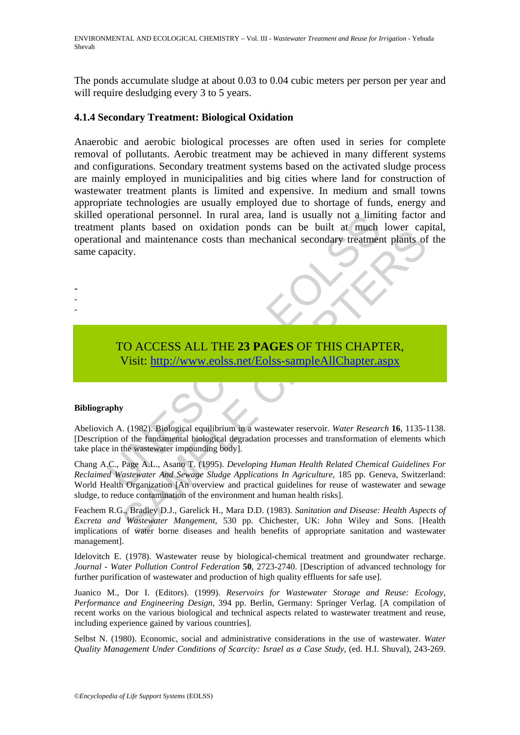ENVIRONMENTAL AND ECOLOGICAL CHEMISTRY – Vol. III - *Wastewater Treatment and Reuse for Irrigation* - Yehuda Shevah

The ponds accumulate sludge at about 0.03 to 0.04 cubic meters per person per year and will require desludging every 3 to 5 years.

#### **4.1.4 Secondary Treatment: Biological Oxidation**

operational personnel. In rural area, land is usually not a limit<br>the plants based on oxidation ponds can be built at much<br>pacity.<br>TO ACCESS ALL THE 23 PAGES OF THIS CHAPT<br>Visit: http://www.colss.net/Eolss-sampleAllChapter Anaerobic and aerobic biological processes are often used in series for complete removal of pollutants. Aerobic treatment may be achieved in many different systems and configurations. Secondary treatment systems based on the activated sludge process are mainly employed in municipalities and big cities where land for construction of wastewater treatment plants is limited and expensive. In medium and small towns appropriate technologies are usually employed due to shortage of funds, energy and skilled operational personnel. In rural area, land is usually not a limiting factor and treatment plants based on oxidation ponds can be built at much lower capital, operational and maintenance costs than mechanical secondary treatment plants of the same capacity.

TO ACCESS ALL THE **23 PAGES** OF THIS CHAPTER, Visit: http://www.eolss.net/Eolss-sampleAllChapter.aspx

#### **Bibliography**

- - -

Abeliovich A. (1982). Biological equilibrium in a wastewater reservoir. *Water Research* **16**, 1135-1138. [Description of the fundamental biological degradation processes and transformation of elements which take place in the wastewater impounding body].

SAMPLE [CHA](https://www.eolss.net/ebooklib/sc_cart.aspx?File=E6-13-06-05)PTERS Chang A.C., Page A.L., Asano T. (1995). *Developing Human Health Related Chemical Guidelines For Reclaimed Wastewater And Sewage Sludge Applications In Agriculture*, 185 pp. Geneva, Switzerland: World Health Organization [An overview and practical guidelines for reuse of wastewater and sewage sludge, to reduce contamination of the environment and human health risks].

Feachem R.G., Bradley D.J., Garelick H., Mara D.D. (1983). *Sanitation and Disease: Health Aspects of Excreta and Wastewater Mangement*, 530 pp. Chichester, UK: John Wiley and Sons. [Health implications of water borne diseases and health benefits of appropriate sanitation and wastewater management].

Idelovitch E. (1978). Wastewater reuse by biological-chemical treatment and groundwater recharge. *Journal - Water Pollution Control Federation* **50**, 2723-2740. [Description of advanced technology for further purification of wastewater and production of high quality effluents for safe use].

Juanico M., Dor I. (Editors). (1999). *Reservoirs for Wastewater Storage and Reuse: Ecology, Performance and Engineering Design*, 394 pp. Berlin, Germany: Springer Verlag. [A compilation of recent works on the various biological and technical aspects related to wastewater treatment and reuse, including experience gained by various countries].

Selbst N. (1980). Economic, social and administrative considerations in the use of wastewater. *Water Quality Management Under Conditions of Scarcity: Israel as a Case Study*, (ed. H.I. Shuval), 243-269.